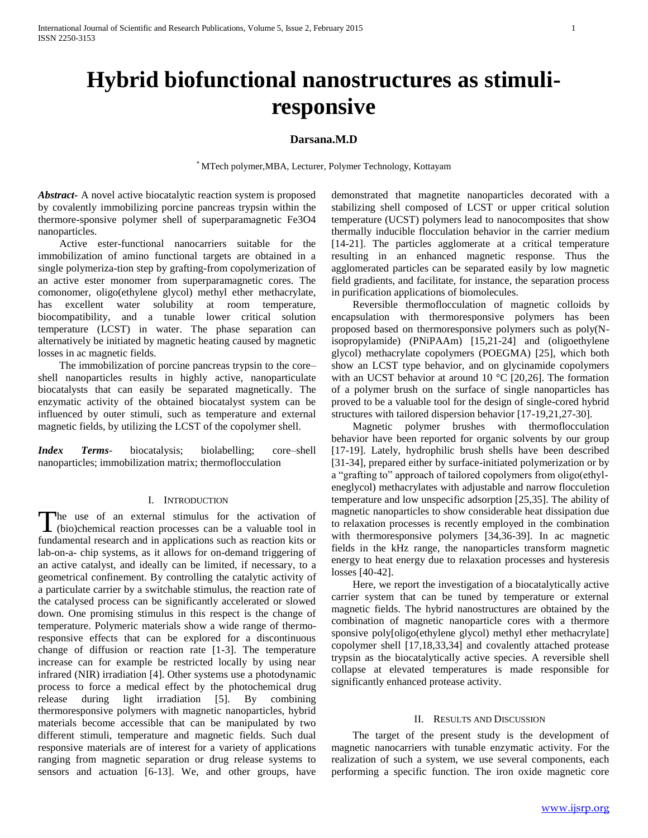# **Hybrid biofunctional nanostructures as stimuliresponsive**

## **Darsana.M.D**

\* MTech polymer,MBA, Lecturer, Polymer Technology, Kottayam

*Abstract***-** A novel active biocatalytic reaction system is proposed by covalently immobilizing porcine pancreas trypsin within the thermore-sponsive polymer shell of superparamagnetic Fe3O4 nanoparticles.

 Active ester-functional nanocarriers suitable for the immobilization of amino functional targets are obtained in a single polymeriza-tion step by grafting-from copolymerization of an active ester monomer from superparamagnetic cores. The comonomer, oligo(ethylene glycol) methyl ether methacrylate, has excellent water solubility at room temperature, biocompatibility, and a tunable lower critical solution temperature (LCST) in water. The phase separation can alternatively be initiated by magnetic heating caused by magnetic losses in ac magnetic fields.

 The immobilization of porcine pancreas trypsin to the core– shell nanoparticles results in highly active, nanoparticulate biocatalysts that can easily be separated magnetically. The enzymatic activity of the obtained biocatalyst system can be influenced by outer stimuli, such as temperature and external magnetic fields, by utilizing the LCST of the copolymer shell.

*Index Terms*- biocatalysis; biolabelling; core–shell nanoparticles; immobilization matrix; thermoflocculation

### I. INTRODUCTION

The use of an external stimulus for the activation of The use of an external stimulus for the activation of (bio)chemical reaction processes can be a valuable tool in fundamental research and in applications such as reaction kits or lab-on-a- chip systems, as it allows for on-demand triggering of an active catalyst, and ideally can be limited, if necessary, to a geometrical confinement. By controlling the catalytic activity of a particulate carrier by a switchable stimulus, the reaction rate of the catalysed process can be significantly accelerated or slowed down. One promising stimulus in this respect is the change of temperature. Polymeric materials show a wide range of thermoresponsive effects that can be explored for a discontinuous change of diffusion or reaction rate [1-3]. The temperature increase can for example be restricted locally by using near infrared (NIR) irradiation [4]. Other systems use a photodynamic process to force a medical effect by the photochemical drug release during light irradiation [5]. By combining thermoresponsive polymers with magnetic nanoparticles, hybrid materials become accessible that can be manipulated by two different stimuli, temperature and magnetic fields. Such dual responsive materials are of interest for a variety of applications ranging from magnetic separation or drug release systems to sensors and actuation [6-13]. We, and other groups, have

demonstrated that magnetite nanoparticles decorated with a stabilizing shell composed of LCST or upper critical solution temperature (UCST) polymers lead to nanocomposites that show thermally inducible flocculation behavior in the carrier medium [14-21]. The particles agglomerate at a critical temperature resulting in an enhanced magnetic response. Thus the agglomerated particles can be separated easily by low magnetic field gradients, and facilitate, for instance, the separation process in purification applications of biomolecules.

 Reversible thermoflocculation of magnetic colloids by encapsulation with thermoresponsive polymers has been proposed based on thermoresponsive polymers such as poly(Nisopropylamide) (PNiPAAm) [15,21-24] and (oligoethylene glycol) methacrylate copolymers (POEGMA) [25], which both show an LCST type behavior, and on glycinamide copolymers with an UCST behavior at around 10 °C [20,26]. The formation of a polymer brush on the surface of single nanoparticles has proved to be a valuable tool for the design of single-cored hybrid structures with tailored dispersion behavior [17-19,21,27-30].

 Magnetic polymer brushes with thermoflocculation behavior have been reported for organic solvents by our group [17-19]. Lately, hydrophilic brush shells have been described [31-34], prepared either by surface-initiated polymerization or by a "grafting to" approach of tailored copolymers from oligo(ethyleneglycol) methacrylates with adjustable and narrow flocculetion temperature and low unspecific adsorption [25,35]. The ability of magnetic nanoparticles to show considerable heat dissipation due to relaxation processes is recently employed in the combination with thermoresponsive polymers [34,36-39]. In ac magnetic fields in the kHz range, the nanoparticles transform magnetic energy to heat energy due to relaxation processes and hysteresis losses [40-42].

 Here, we report the investigation of a biocatalytically active carrier system that can be tuned by temperature or external magnetic fields. The hybrid nanostructures are obtained by the combination of magnetic nanoparticle cores with a thermore sponsive poly[oligo(ethylene glycol) methyl ether methacrylate] copolymer shell [17,18,33,34] and covalently attached protease trypsin as the biocatalytically active species. A reversible shell collapse at elevated temperatures is made responsible for significantly enhanced protease activity.

## II. RESULTS AND DISCUSSION

 The target of the present study is the development of magnetic nanocarriers with tunable enzymatic activity. For the realization of such a system, we use several components, each performing a specific function. The iron oxide magnetic core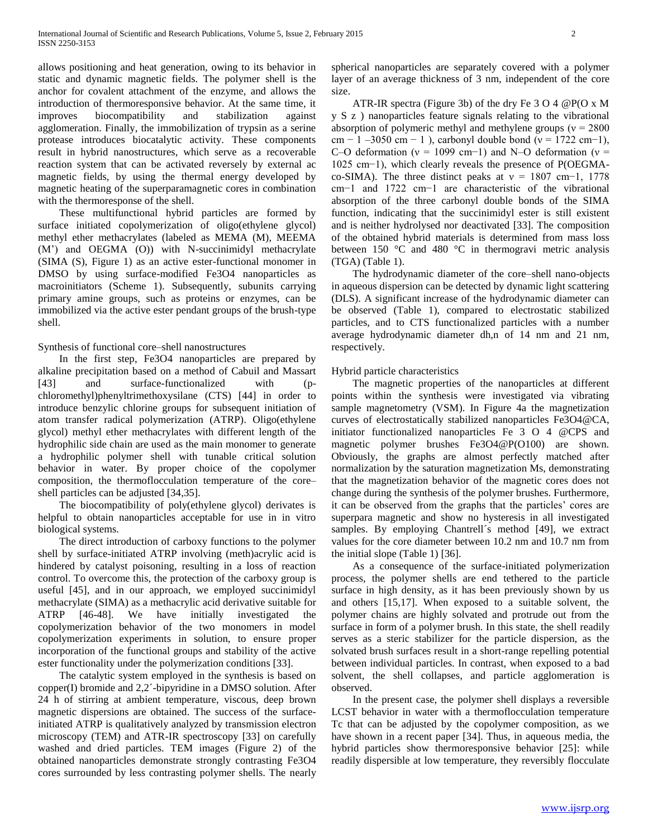allows positioning and heat generation, owing to its behavior in static and dynamic magnetic fields. The polymer shell is the anchor for covalent attachment of the enzyme, and allows the introduction of thermoresponsive behavior. At the same time, it improves biocompatibility and stabilization against agglomeration. Finally, the immobilization of trypsin as a serine protease introduces biocatalytic activity. These components result in hybrid nanostructures, which serve as a recoverable reaction system that can be activated reversely by external ac magnetic fields, by using the thermal energy developed by magnetic heating of the superparamagnetic cores in combination with the thermoresponse of the shell.

 These multifunctional hybrid particles are formed by surface initiated copolymerization of oligo(ethylene glycol) methyl ether methacrylates (labeled as MEMA (M), MEEMA (M') and OEGMA (O)) with N-succinimidyl methacrylate (SIMA (S), Figure 1) as an active ester-functional monomer in DMSO by using surface-modified Fe3O4 nanoparticles as macroinitiators (Scheme 1). Subsequently, subunits carrying primary amine groups, such as proteins or enzymes, can be immobilized via the active ester pendant groups of the brush-type shell.

Synthesis of functional core–shell nanostructures

 In the first step, Fe3O4 nanoparticles are prepared by alkaline precipitation based on a method of Cabuil and Massart [43] and surface-functionalized with (pchloromethyl)phenyltrimethoxysilane (CTS) [44] in order to introduce benzylic chlorine groups for subsequent initiation of atom transfer radical polymerization (ATRP). Oligo(ethylene glycol) methyl ether methacrylates with different length of the hydrophilic side chain are used as the main monomer to generate a hydrophilic polymer shell with tunable critical solution behavior in water. By proper choice of the copolymer composition, the thermoflocculation temperature of the core– shell particles can be adjusted [34,35].

 The biocompatibility of poly(ethylene glycol) derivates is helpful to obtain nanoparticles acceptable for use in in vitro biological systems.

 The direct introduction of carboxy functions to the polymer shell by surface-initiated ATRP involving (meth)acrylic acid is hindered by catalyst poisoning, resulting in a loss of reaction control. To overcome this, the protection of the carboxy group is useful [45], and in our approach, we employed succinimidyl methacrylate (SIMA) as a methacrylic acid derivative suitable for ATRP [46-48]. We have initially investigated the copolymerization behavior of the two monomers in model copolymerization experiments in solution, to ensure proper incorporation of the functional groups and stability of the active ester functionality under the polymerization conditions [33].

 The catalytic system employed in the synthesis is based on copper(I) bromide and 2,2´-bipyridine in a DMSO solution. After 24 h of stirring at ambient temperature, viscous, deep brown magnetic dispersions are obtained. The success of the surfaceinitiated ATRP is qualitatively analyzed by transmission electron microscopy (TEM) and ATR-IR spectroscopy [33] on carefully washed and dried particles. TEM images (Figure 2) of the obtained nanoparticles demonstrate strongly contrasting Fe3O4 cores surrounded by less contrasting polymer shells. The nearly spherical nanoparticles are separately covered with a polymer layer of an average thickness of 3 nm, independent of the core size.

 ATR-IR spectra (Figure 3b) of the dry Fe 3 O 4 @P(O x M y S z ) nanoparticles feature signals relating to the vibrational absorption of polymeric methyl and methylene groups ( $v = 2800$ cm – 1 –3050 cm – 1), carbonyl double bond ( $v = 1722$  cm–1), C–O deformation ( $v = 1099$  cm–1) and N–O deformation ( $v =$ 1025 cm−1), which clearly reveals the presence of P(OEGMAco-SIMA). The three distinct peaks at  $v = 1807$  cm-1, 1778 cm−1 and 1722 cm−1 are characteristic of the vibrational absorption of the three carbonyl double bonds of the SIMA function, indicating that the succinimidyl ester is still existent and is neither hydrolysed nor deactivated [33]. The composition of the obtained hybrid materials is determined from mass loss between 150 °C and 480 °C in thermogravi metric analysis (TGA) (Table 1).

 The hydrodynamic diameter of the core–shell nano-objects in aqueous dispersion can be detected by dynamic light scattering (DLS). A significant increase of the hydrodynamic diameter can be observed (Table 1), compared to electrostatic stabilized particles, and to CTS functionalized particles with a number average hydrodynamic diameter dh,n of 14 nm and 21 nm, respectively.

Hybrid particle characteristics

 The magnetic properties of the nanoparticles at different points within the synthesis were investigated via vibrating sample magnetometry (VSM). In Figure 4a the magnetization curves of electrostatically stabilized nanoparticles Fe3O4@CA, initiator functionalized nanoparticles Fe 3 O 4 @CPS and magnetic polymer brushes Fe3O4@P(O100) are shown. Obviously, the graphs are almost perfectly matched after normalization by the saturation magnetization Ms, demonstrating that the magnetization behavior of the magnetic cores does not change during the synthesis of the polymer brushes. Furthermore, it can be observed from the graphs that the particles' cores are superpara magnetic and show no hysteresis in all investigated samples. By employing Chantrell's method [49], we extract values for the core diameter between 10.2 nm and 10.7 nm from the initial slope (Table 1) [36].

 As a consequence of the surface-initiated polymerization process, the polymer shells are end tethered to the particle surface in high density, as it has been previously shown by us and others [15,17]. When exposed to a suitable solvent, the polymer chains are highly solvated and protrude out from the surface in form of a polymer brush. In this state, the shell readily serves as a steric stabilizer for the particle dispersion, as the solvated brush surfaces result in a short-range repelling potential between individual particles. In contrast, when exposed to a bad solvent, the shell collapses, and particle agglomeration is observed.

 In the present case, the polymer shell displays a reversible LCST behavior in water with a thermoflocculation temperature Tc that can be adjusted by the copolymer composition, as we have shown in a recent paper [34]. Thus, in aqueous media, the hybrid particles show thermoresponsive behavior [25]: while readily dispersible at low temperature, they reversibly flocculate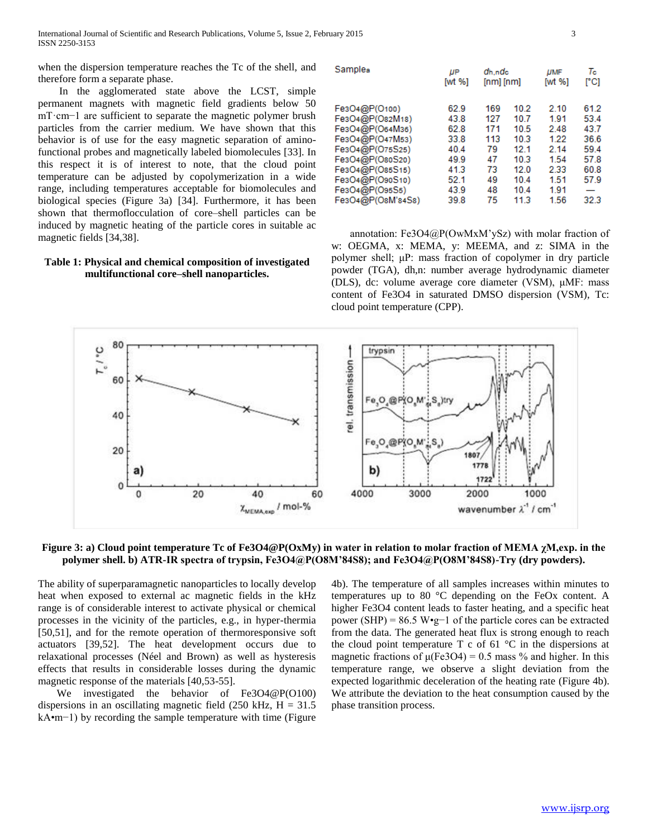when the dispersion temperature reaches the Tc of the shell, and therefore form a separate phase.

 In the agglomerated state above the LCST, simple permanent magnets with magnetic field gradients below 50 mT·cm−1 are sufficient to separate the magnetic polymer brush particles from the carrier medium. We have shown that this behavior is of use for the easy magnetic separation of aminofunctional probes and magnetically labeled biomolecules [33]. In this respect it is of interest to note, that the cloud point temperature can be adjusted by copolymerization in a wide range, including temperatures acceptable for biomolecules and biological species (Figure 3a) [34]. Furthermore, it has been shown that thermoflocculation of core–shell particles can be induced by magnetic heating of the particle cores in suitable ac magnetic fields [34,38].

## **Table 1: Physical and chemical composition of investigated multifunctional core–shell nanoparticles.**

| Samples           | IJР<br>[wt $%$ ] | dh.ndc<br>$[nm]$ $[nm]$ |      | <b>UMF</b><br>[wt %] | Tc<br>rci |
|-------------------|------------------|-------------------------|------|----------------------|-----------|
| Fe3O4@P(O100)     | 62.9             | 169                     | 10.2 | 2.10                 | 61.2      |
| Fe3O4@P(O82M18)   | 43.8             | 127                     | 10.7 | 1.91                 | 53.4      |
| Fe3O4@P(O64M36)   | 62.8             | 171                     | 10.5 | 2.48                 | 43.7      |
| Fe3O4@P(O47M53)   | 33.8             | 113                     | 10.3 | 1.22                 | 36.6      |
| Fe3O4@P(O75S25)   | 40.4             | 79                      | 12.1 | 2.14                 | 59.4      |
| Fe3O4@P(O80S20)   | 49.9             | 47                      | 10.3 | 1.54                 | 57.8      |
| Fe3O4@P(O85S15)   | 41.3             | 73                      | 12.0 | 2.33                 | 60.8      |
| Fe3O4@P(O90S10)   | 52.1             | 49                      | 10.4 | 1.51                 | 57.9      |
| Fe3O4@P(O95S5)    | 43.9             | 48                      | 10.4 | 1.91                 | —         |
| Fe3O4@P(O8M'84S8) | 39.8             | 75                      | 11.3 | 1.56                 | 32.3      |

 annotation: Fe3O4@P(OwMxM'ySz) with molar fraction of w: OEGMA, x: MEMA, y: MEEMA, and z: SIMA in the polymer shell; μP: mass fraction of copolymer in dry particle powder (TGA), dh,n: number average hydrodynamic diameter (DLS), dc: volume average core diameter (VSM), μMF: mass content of Fe3O4 in saturated DMSO dispersion (VSM), Tc: cloud point temperature (CPP).



**Figure 3: a) Cloud point temperature Tc of Fe3O4@P(OxMy) in water in relation to molar fraction of MEMA χM,exp. in the polymer shell. b) ATR-IR spectra of trypsin, Fe3O4@P(O8M'84S8); and Fe3O4@P(O8M'84S8)-Try (dry powders).**

The ability of superparamagnetic nanoparticles to locally develop heat when exposed to external ac magnetic fields in the kHz range is of considerable interest to activate physical or chemical processes in the vicinity of the particles, e.g., in hyper-thermia [50,51], and for the remote operation of thermoresponsive soft actuators [39,52]. The heat development occurs due to relaxational processes (Néel and Brown) as well as hysteresis effects that results in considerable losses during the dynamic magnetic response of the materials [40,53-55].

 We investigated the behavior of Fe3O4@P(O100) dispersions in an oscillating magnetic field  $(250 \text{ kHz}, \text{H} = 31.5$ kA•m−1) by recording the sample temperature with time (Figure

4b). The temperature of all samples increases within minutes to temperatures up to 80 °C depending on the FeOx content. A higher Fe3O4 content leads to faster heating, and a specific heat power (SHP) = 86.5 W•g−1 of the particle cores can be extracted from the data. The generated heat flux is strong enough to reach the cloud point temperature  $T c$  of 61  $^{\circ}C$  in the dispersions at magnetic fractions of  $\mu$ (Fe3O4) = 0.5 mass % and higher. In this temperature range, we observe a slight deviation from the expected logarithmic deceleration of the heating rate (Figure 4b). We attribute the deviation to the heat consumption caused by the phase transition process.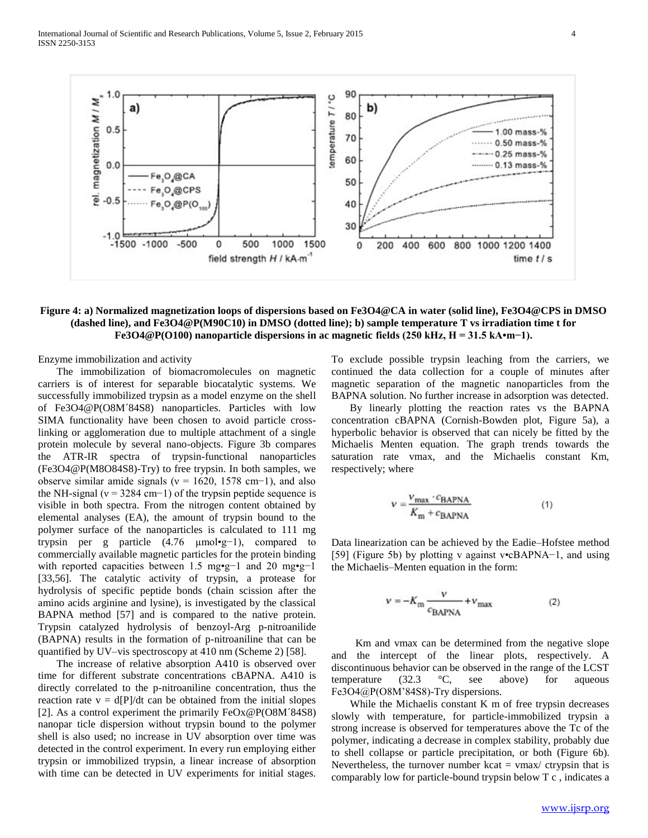

## **Figure 4: a) Normalized magnetization loops of dispersions based on Fe3O4@CA in water (solid line), Fe3O4@CPS in DMSO (dashed line), and Fe3O4@P(M90C10) in DMSO (dotted line); b) sample temperature T vs irradiation time t for Fe3O4@P(O100) nanoparticle dispersions in ac magnetic fields (250 kHz, H = 31.5 kA•m−1).**

Enzyme immobilization and activity

 The immobilization of biomacromolecules on magnetic carriers is of interest for separable biocatalytic systems. We successfully immobilized trypsin as a model enzyme on the shell of Fe3O4@P(O8M´84S8) nanoparticles. Particles with low SIMA functionality have been chosen to avoid particle crosslinking or agglomeration due to multiple attachment of a single protein molecule by several nano-objects. Figure 3b compares the ATR-IR spectra of trypsin-functional nanoparticles (Fe3O4@P(M8O84S8)-Try) to free trypsin. In both samples, we observe similar amide signals ( $v = 1620$ , 1578 cm−1), and also the NH-signal ( $v = 3284$  cm−1) of the trypsin peptide sequence is visible in both spectra. From the nitrogen content obtained by elemental analyses (EA), the amount of trypsin bound to the polymer surface of the nanoparticles is calculated to 111 mg trypsin per g particle (4.76 µmol•g−1), compared to commercially available magnetic particles for the protein binding with reported capacities between 1.5 mg•g−1 and 20 mg•g−1 [33,56]. The catalytic activity of trypsin, a protease for hydrolysis of specific peptide bonds (chain scission after the amino acids arginine and lysine), is investigated by the classical BAPNA method [57] and is compared to the native protein. Trypsin catalyzed hydrolysis of benzoyl-Arg p-nitroanilide (BAPNA) results in the formation of p-nitroaniline that can be quantified by UV–vis spectroscopy at 410 nm (Scheme 2) [58].

 The increase of relative absorption A410 is observed over time for different substrate concentrations cBAPNA. A410 is directly correlated to the p-nitroaniline concentration, thus the reaction rate  $v = d[P]/dt$  can be obtained from the initial slopes [2]. As a control experiment the primarily FeOx@P(O8M´84S8) nanopar ticle dispersion without trypsin bound to the polymer shell is also used; no increase in UV absorption over time was detected in the control experiment. In every run employing either trypsin or immobilized trypsin, a linear increase of absorption with time can be detected in UV experiments for initial stages.

To exclude possible trypsin leaching from the carriers, we continued the data collection for a couple of minutes after magnetic separation of the magnetic nanoparticles from the BAPNA solution. No further increase in adsorption was detected.

 By linearly plotting the reaction rates vs the BAPNA concentration cBAPNA (Cornish-Bowden plot, Figure 5a), a hyperbolic behavior is observed that can nicely be fitted by the Michaelis Menten equation. The graph trends towards the saturation rate vmax, and the Michaelis constant Km, respectively; where

$$
V = \frac{V_{\text{max}} \cdot c_{\text{BAPNA}}}{K_{\text{m}} + c_{\text{BAPNA}}} \tag{1}
$$

Data linearization can be achieved by the Eadie–Hofstee method [59] (Figure 5b) by plotting v against v•cBAPNA−1, and using the Michaelis–Menten equation in the form:

$$
v = -K_{\rm m} \frac{v}{c_{\rm BAPNA}} + v_{\rm max} \tag{2}
$$

 Km and vmax can be determined from the negative slope and the intercept of the linear plots, respectively. A discontinuous behavior can be observed in the range of the LCST temperature (32.3 °C, see above) for aqueous Fe3O4@P(O8M'84S8)-Try dispersions.

 While the Michaelis constant K m of free trypsin decreases slowly with temperature, for particle-immobilized trypsin a strong increase is observed for temperatures above the Tc of the polymer, indicating a decrease in complex stability, probably due to shell collapse or particle precipitation, or both (Figure 6b). Nevertheless, the turnover number  $kcat = \text{vmax}/\text{ctrysin}$  that is comparably low for particle-bound trypsin below T c , indicates a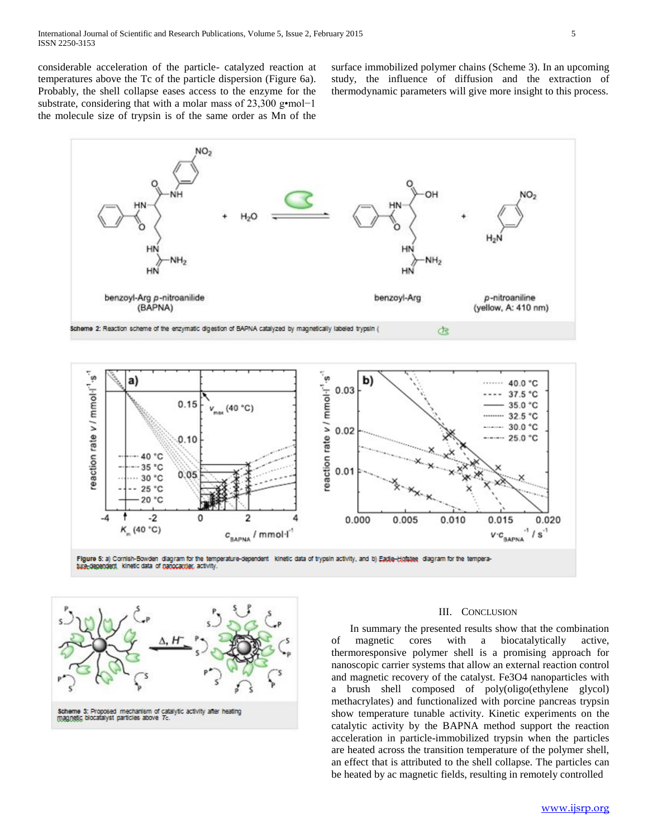considerable acceleration of the particle- catalyzed reaction at temperatures above the Tc of the particle dispersion (Figure 6a). Probably, the shell collapse eases access to the enzyme for the substrate, considering that with a molar mass of 23,300 g•mol−1 the molecule size of trypsin is of the same order as Mn of the surface immobilized polymer chains (Scheme 3). In an upcoming study, the influence of diffusion and the extraction of thermodynamic parameters will give more insight to this process.







#### III. CONCLUSION

 In summary the presented results show that the combination of magnetic cores with a biocatalytically active, thermoresponsive polymer shell is a promising approach for nanoscopic carrier systems that allow an external reaction control and magnetic recovery of the catalyst. Fe3O4 nanoparticles with a brush shell composed of poly(oligo(ethylene glycol) methacrylates) and functionalized with porcine pancreas trypsin show temperature tunable activity. Kinetic experiments on the catalytic activity by the BAPNA method support the reaction acceleration in particle-immobilized trypsin when the particles are heated across the transition temperature of the polymer shell, an effect that is attributed to the shell collapse. The particles can be heated by ac magnetic fields, resulting in remotely controlled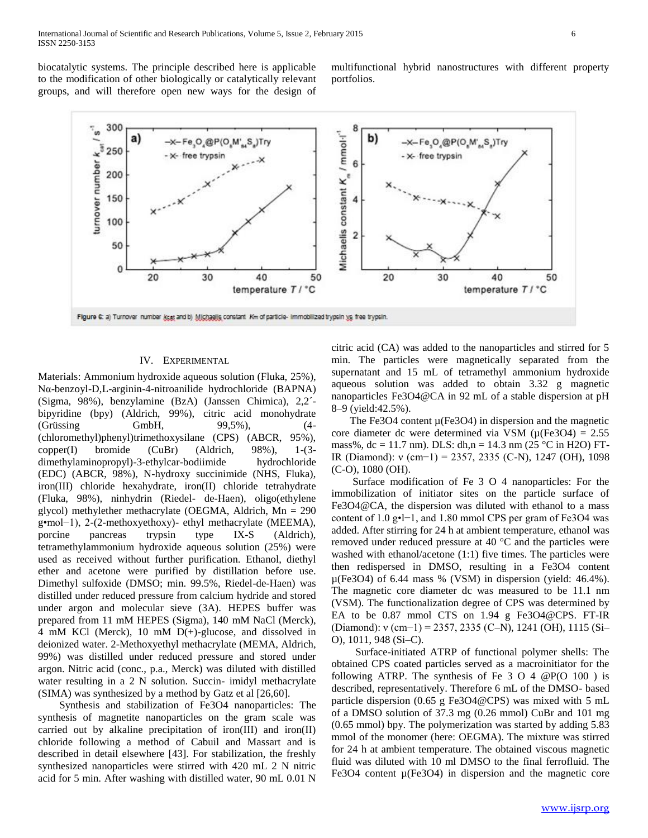biocatalytic systems. The principle described here is applicable to the modification of other biologically or catalytically relevant groups, and will therefore open new ways for the design of multifunctional hybrid nanostructures with different property portfolios.



## IV. EXPERIMENTAL

Materials: Ammonium hydroxide aqueous solution (Fluka, 25%), Nα-benzoyl-D,L-arginin-4-nitroanilide hydrochloride (BAPNA) (Sigma, 98%), benzylamine (BzA) (Janssen Chimica), 2,2´ bipyridine (bpy) (Aldrich, 99%), citric acid monohydrate (Grüssing GmbH, 99,5%), (4- (chloromethyl)phenyl)trimethoxysilane (CPS) (ABCR, 95%), copper(I) bromide (CuBr) (Aldrich, 98%), 1-(3 dimethylaminopropyl)-3-ethylcar-bodiimide hydrochloride (EDC) (ABCR, 98%), N-hydroxy succinimide (NHS, Fluka), iron(III) chloride hexahydrate, iron(II) chloride tetrahydrate (Fluka, 98%), ninhydrin (Riedel- de-Haen), oligo(ethylene glycol) methylether methacrylate (OEGMA, Aldrich, Mn = 290 g•mol−1), 2-(2-methoxyethoxy)- ethyl methacrylate (MEEMA), porcine pancreas trypsin type IX-S (Aldrich), tetramethylammonium hydroxide aqueous solution (25%) were used as received without further purification. Ethanol, diethyl ether and acetone were purified by distillation before use. Dimethyl sulfoxide (DMSO; min. 99.5%, Riedel-de-Haen) was distilled under reduced pressure from calcium hydride and stored under argon and molecular sieve (3A). HEPES buffer was prepared from 11 mM HEPES (Sigma), 140 mM NaCl (Merck), 4 mM KCl (Merck), 10 mM D(+)-glucose, and dissolved in deionized water. 2-Methoxyethyl methacrylate (MEMA, Aldrich, 99%) was distilled under reduced pressure and stored under argon. Nitric acid (conc., p.a., Merck) was diluted with distilled water resulting in a 2 N solution. Succin- imidyl methacrylate (SIMA) was synthesized by a method by Gatz et al [26,60].

 Synthesis and stabilization of Fe3O4 nanoparticles: The synthesis of magnetite nanoparticles on the gram scale was carried out by alkaline precipitation of iron(III) and iron(II) chloride following a method of Cabuil and Massart and is described in detail elsewhere [43]. For stabilization, the freshly synthesized nanoparticles were stirred with 420 mL 2 N nitric acid for 5 min. After washing with distilled water, 90 mL 0.01 N citric acid (CA) was added to the nanoparticles and stirred for 5 min. The particles were magnetically separated from the supernatant and 15 mL of tetramethyl ammonium hydroxide aqueous solution was added to obtain 3.32 g magnetic nanoparticles Fe3O4@CA in 92 mL of a stable dispersion at pH 8–9 (yield:42.5%).

The Fe3O4 content  $\mu$ (Fe3O4) in dispersion and the magnetic core diameter dc were determined via VSM ( $\mu$ (Fe3O4) = 2.55 mass%, dc = 11.7 nm). DLS: dh,n = 14.3 nm (25 °C in H2O) FT-IR (Diamond): ν (cm−1) = 2357, 2335 (C-N), 1247 (OH), 1098 (C-O), 1080 (OH).

 Surface modification of Fe 3 O 4 nanoparticles: For the immobilization of initiator sites on the particle surface of Fe3O4@CA, the dispersion was diluted with ethanol to a mass content of 1.0 g•l−1, and 1.80 mmol CPS per gram of Fe3O4 was added. After stirring for 24 h at ambient temperature, ethanol was removed under reduced pressure at 40 °C and the particles were washed with ethanol/acetone (1:1) five times. The particles were then redispersed in DMSO, resulting in a Fe3O4 content µ(Fe3O4) of 6.44 mass % (VSM) in dispersion (yield: 46.4%). The magnetic core diameter dc was measured to be 11.1 nm (VSM). The functionalization degree of CPS was determined by EA to be 0.87 mmol CTS on 1.94 g Fe3O4@CPS. FT-IR (Diamond): ν (cm−1) = 2357, 2335 (C–N), 1241 (OH), 1115 (Si– O), 1011, 948 (Si–C).

 Surface-initiated ATRP of functional polymer shells: The obtained CPS coated particles served as a macroinitiator for the following ATRP. The synthesis of Fe  $3 \text{ O } 4$  @P(O 100) is described, representatively. Therefore 6 mL of the DMSO- based particle dispersion (0.65 g Fe3O4@CPS) was mixed with 5 mL of a DMSO solution of 37.3 mg (0.26 mmol) CuBr and 101 mg (0.65 mmol) bpy. The polymerization was started by adding 5.83 mmol of the monomer (here: OEGMA). The mixture was stirred for 24 h at ambient temperature. The obtained viscous magnetic fluid was diluted with 10 ml DMSO to the final ferrofluid. The Fe3O4 content  $\mu$ (Fe3O4) in dispersion and the magnetic core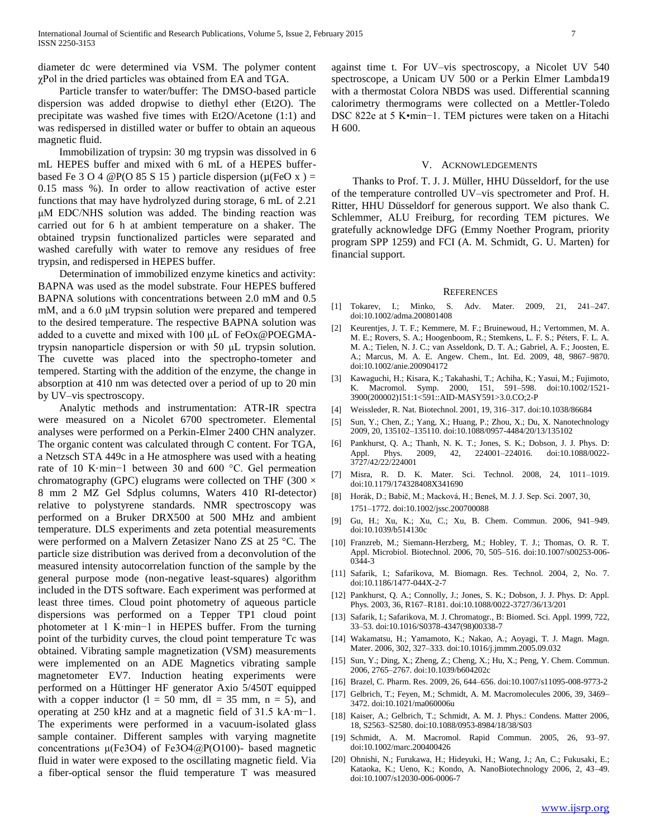diameter dc were determined via VSM. The polymer content χPol in the dried particles was obtained from EA and TGA.

 Particle transfer to water/buffer: The DMSO-based particle dispersion was added dropwise to diethyl ether (Et2O). The precipitate was washed five times with Et2O/Acetone (1:1) and was redispersed in distilled water or buffer to obtain an aqueous magnetic fluid.

 Immobilization of trypsin: 30 mg trypsin was dissolved in 6 mL HEPES buffer and mixed with 6 mL of a HEPES bufferbased Fe 3 O 4  $\mathcal{Q}P(O 85 S 15)$  particle dispersion ( $\mu(FeO x) =$ 0.15 mass %). In order to allow reactivation of active ester functions that may have hydrolyzed during storage, 6 mL of 2.21 μM EDC/NHS solution was added. The binding reaction was carried out for 6 h at ambient temperature on a shaker. The obtained trypsin functionalized particles were separated and washed carefully with water to remove any residues of free trypsin, and redispersed in HEPES buffer.

 Determination of immobilized enzyme kinetics and activity: BAPNA was used as the model substrate. Four HEPES buffered BAPNA solutions with concentrations between 2.0 mM and 0.5 mM, and a 6.0 μM trypsin solution were prepared and tempered to the desired temperature. The respective BAPNA solution was added to a cuvette and mixed with 100 μL of FeOx@POEGMAtrypsin nanoparticle dispersion or with 50 μL trypsin solution. The cuvette was placed into the spectropho-tometer and tempered. Starting with the addition of the enzyme, the change in absorption at 410 nm was detected over a period of up to 20 min by UV–vis spectroscopy.

 Analytic methods and instrumentation: ATR-IR spectra were measured on a Nicolet 6700 spectrometer. Elemental analyses were performed on a Perkin-Elmer 2400 CHN analyzer. The organic content was calculated through C content. For TGA, a Netzsch STA 449c in a He atmosphere was used with a heating rate of 10 K·min−1 between 30 and 600 °C. Gel permeation chromatography (GPC) elugrams were collected on THF (300  $\times$ 8 mm 2 MZ Gel Sdplus columns, Waters 410 RI-detector) relative to polystyrene standards. NMR spectroscopy was performed on a Bruker DRX500 at 500 MHz and ambient temperature. DLS experiments and zeta potential measurements were performed on a Malvern Zetasizer Nano ZS at 25 °C. The particle size distribution was derived from a deconvolution of the measured intensity autocorrelation function of the sample by the general purpose mode (non-negative least-squares) algorithm included in the DTS software. Each experiment was performed at least three times. Cloud point photometry of aqueous particle dispersions was performed on a Tepper TP1 cloud point photometer at 1 K·min−1 in HEPES buffer. From the turning point of the turbidity curves, the cloud point temperature Tc was obtained. Vibrating sample magnetization (VSM) measurements were implemented on an ADE Magnetics vibrating sample magnetometer EV7. Induction heating experiments were performed on a Hüttinger HF generator Axio 5/450T equipped with a copper inductor  $(l = 50$  mm,  $dl = 35$  mm,  $n = 5$ ), and operating at 250 kHz and at a magnetic field of 31.5 kA·m−1. The experiments were performed in a vacuum-isolated glass sample container. Different samples with varying magnetite concentrations μ(Fe3O4) of Fe3O4@P(O100)- based magnetic fluid in water were exposed to the oscillating magnetic field. Via a fiber-optical sensor the fluid temperature T was measured against time t. For UV–vis spectroscopy, a Nicolet UV 540 spectroscope, a Unicam UV 500 or a Perkin Elmer Lambda19 with a thermostat Colora NBDS was used. Differential scanning calorimetry thermograms were collected on a Mettler-Toledo DSC 822e at 5 K•min−1. TEM pictures were taken on a Hitachi H 600.

#### V. ACKNOWLEDGEMENTS

 Thanks to Prof. T. J. J. Müller, HHU Düsseldorf, for the use of the temperature controlled UV–vis spectrometer and Prof. H. Ritter, HHU Düsseldorf for generous support. We also thank C. Schlemmer, ALU Freiburg, for recording TEM pictures. We gratefully acknowledge DFG (Emmy Noether Program, priority program SPP 1259) and FCI (A. M. Schmidt, G. U. Marten) for financial support.

#### REFERENCES

- [1] Tokarev, I.; Minko, S. Adv. Mater. 2009, 21, 241–247. doi:10.1002/adma.200801408
- [2] Keurentjes, J. T. F.; Kemmere, M. F.; Bruinewoud, H.; Vertommen, M. A. M. E.; Rovers, S. A.; Hoogenboom, R.; Stemkens, L. F. S.; Péters, F. L. A. M. A.; Tielen, N. J. C.; van Asseldonk, D. T. A.; Gabriel, A. F.; Joosten, E. A.; Marcus, M. A. E. Angew. Chem., Int. Ed. 2009, 48, 9867–9870. doi:10.1002/anie.200904172
- [3] Kawaguchi, H.; Kisara, K.; Takahashi, T.; Achiha, K.; Yasui, M.; Fujimoto, K. Macromol. Symp. 2000, 151, 591–598. doi:10.1002/1521- 3900(200002)151:1<591::AID-MASY591>3.0.CO;2-P
- [4] Weissleder, R. Nat. Biotechnol. 2001, 19, 316–317. doi:10.1038/86684
- [5] Sun, Y.; Chen, Z.; Yang, X.; Huang, P.; Zhou, X.; Du, X. Nanotechnology 2009, 20, 135102–135110. doi:10.1088/0957-4484/20/13/135102
- [6] Pankhurst, Q. A.; Thanh, N. K. T.; Jones, S. K.; Dobson, J. J. Phys. D: Appl. Phys. 2009, 42, 224001-224016. 3727/42/22/224001
- [7] Misra, R. D. K. Mater. Sci. Technol. 2008, 24, 1011–1019. doi:10.1179/174328408X341690
- [8] Horák, D.; Babič, M.; Macková, H.; Beneš, M. J. J. Sep. Sci. 2007, 30, 1751–1772. doi:10.1002/jssc.200700088
- [9] Gu, H.; Xu, K.; Xu, C.; Xu, B. Chem. Commun. 2006, 941–949. doi:10.1039/b514130c
- [10] Franzreb, M.; Siemann-Herzberg, M.; Hobley, T. J.; Thomas, O. R. T. Appl. Microbiol. Biotechnol. 2006, 70, 505–516. doi:10.1007/s00253-006- 0344-3
- [11] Safarik, I.; Safarikova, M. Biomagn. Res. Technol. 2004, 2, No. 7. doi:10.1186/1477-044X-2-7
- [12] Pankhurst, Q. A.; Connolly, J.; Jones, S. K.; Dobson, J. J. Phys. D: Appl. Phys. 2003, 36, R167–R181. doi:10.1088/0022-3727/36/13/201
- [13] Safarik, I.; Safarikova, M. J. Chromatogr., B: Biomed. Sci. Appl. 1999, 722, 33–53. doi:10.1016/S0378-4347(98)00338-7
- [14] Wakamatsu, H.; Yamamoto, K.; Nakao, A.; Aoyagi, T. J. Magn. Magn. Mater. 2006, 302, 327–333. doi:10.1016/j.jmmm.2005.09.032
- [15] Sun, Y.; Ding, X.; Zheng, Z.; Cheng, X.; Hu, X.; Peng, Y. Chem. Commun. 2006, 2765–2767. doi:10.1039/b604202c
- [16] Brazel, C. Pharm. Res. 2009, 26, 644–656. doi:10.1007/s11095-008-9773-2
- [17] Gelbrich, T.; Feyen, M.; Schmidt, A. M. Macromolecules 2006, 39, 3469– 3472. doi:10.1021/ma060006u
- [18] Kaiser, A.; Gelbrich, T.; Schmidt, A. M. J. Phys.: Condens. Matter 2006, 18, S2563–S2580. doi:10.1088/0953-8984/18/38/S03
- [19] Schmidt, A. M. Macromol. Rapid Commun. 2005, 26, 93-97. doi:10.1002/marc.200400426
- [20] Ohnishi, N.; Furukawa, H.; Hideyuki, H.; Wang, J.; An, C.; Fukusaki, E.; Kataoka, K.; Ueno, K.; Kondo, A. NanoBiotechnology 2006, 2, 43–49. doi:10.1007/s12030-006-0006-7